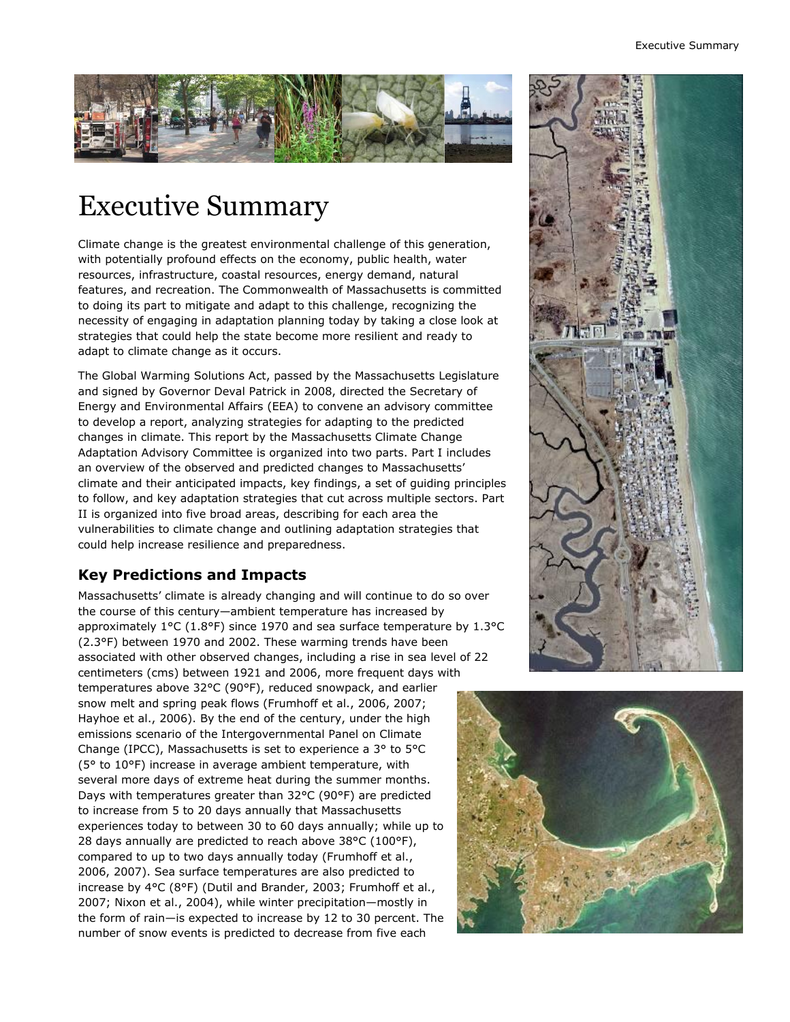

# Executive Summary

Climate change is the greatest environmental challenge of this generation, with potentially profound effects on the economy, public health, water resources, infrastructure, coastal resources, energy demand, natural features, and recreation. The Commonwealth of Massachusetts is committed to doing its part to mitigate and adapt to this challenge, recognizing the necessity of engaging in adaptation planning today by taking a close look at strategies that could help the state become more resilient and ready to adapt to climate change as it occurs.

The Global Warming Solutions Act, passed by the Massachusetts Legislature and signed by Governor Deval Patrick in 2008, directed the Secretary of Energy and Environmental Affairs (EEA) to convene an advisory committee to develop a report, analyzing strategies for adapting to the predicted changes in climate. This report by the Massachusetts Climate Change Adaptation Advisory Committee is organized into two parts. Part I includes an overview of the observed and predicted changes to Massachusetts' climate and their anticipated impacts, key findings, a set of guiding principles to follow, and key adaptation strategies that cut across multiple sectors. Part II is organized into five broad areas, describing for each area the vulnerabilities to climate change and outlining adaptation strategies that could help increase resilience and preparedness.

## **Key Predictions and Impacts**

Massachusetts' climate is already changing and will continue to do so over the course of this century—ambient temperature has increased by approximately 1°C (1.8°F) since 1970 and sea surface temperature by 1.3°C (2.3°F) between 1970 and 2002. These warming trends have been associated with other observed changes, including a rise in sea level of 22 centimeters (cms) between 1921 and 2006, more frequent days with temperatures above 32°C (90°F), reduced snowpack, and earlier snow melt and spring peak flows (Frumhoff et al., 2006, 2007; Hayhoe et al., 2006). By the end of the century, under the high emissions scenario of the Intergovernmental Panel on Climate Change (IPCC), Massachusetts is set to experience a 3° to 5°C (5° to 10°F) increase in average ambient temperature, with several more days of extreme heat during the summer months. Days with temperatures greater than 32°C (90°F) are predicted to increase from 5 to 20 days annually that Massachusetts experiences today to between 30 to 60 days annually; while up to 28 days annually are predicted to reach above 38°C (100°F), compared to up to two days annually today (Frumhoff et al., 2006, 2007). Sea surface temperatures are also predicted to increase by 4°C (8°F) (Dutil and Brander, 2003; Frumhoff et al., 2007; Nixon et al., 2004), while winter precipitation—mostly in the form of rain—is expected to increase by 12 to 30 percent. The number of snow events is predicted to decrease from five each



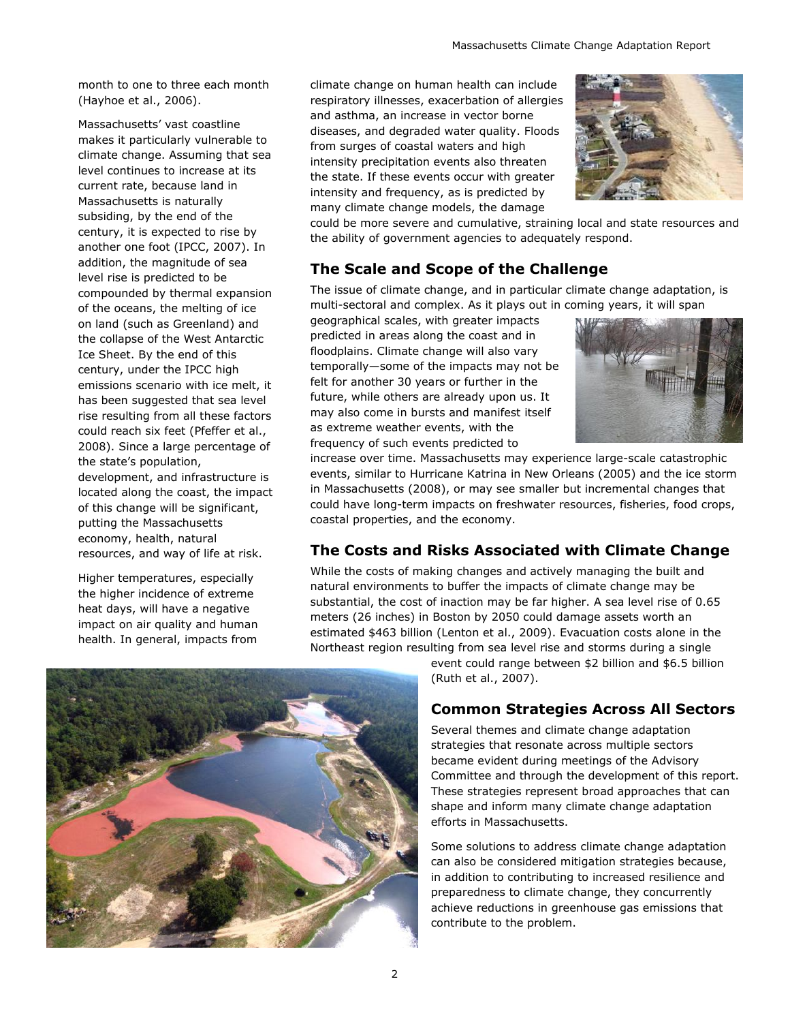month to one to three each month (Hayhoe et al., 2006).

Massachusetts' vast coastline makes it particularly vulnerable to climate change. Assuming that sea level continues to increase at its current rate, because land in Massachusetts is naturally subsiding, by the end of the century, it is expected to rise by another one foot (IPCC, 2007). In addition, the magnitude of sea level rise is predicted to be compounded by thermal expansion of the oceans, the melting of ice on land (such as Greenland) and the collapse of the West Antarctic Ice Sheet. By the end of this century, under the IPCC high emissions scenario with ice melt, it has been suggested that sea level rise resulting from all these factors could reach six feet (Pfeffer et al., 2008). Since a large percentage of the state's population, development, and infrastructure is located along the coast, the impact of this change will be significant, putting the Massachusetts economy, health, natural resources, and way of life at risk.

Higher temperatures, especially the higher incidence of extreme heat days, will have a negative impact on air quality and human health. In general, impacts from climate change on human health can include respiratory illnesses, exacerbation of allergies and asthma, an increase in vector borne diseases, and degraded water quality. Floods from surges of coastal waters and high intensity precipitation events also threaten the state. If these events occur with greater intensity and frequency, as is predicted by many climate change models, the damage



could be more severe and cumulative, straining local and state resources and the ability of government agencies to adequately respond.

### **The Scale and Scope of the Challenge**

The issue of climate change, and in particular climate change adaptation, is multi-sectoral and complex. As it plays out in coming years, it will span

geographical scales, with greater impacts predicted in areas along the coast and in floodplains. Climate change will also vary temporally—some of the impacts may not be felt for another 30 years or further in the future, while others are already upon us. It may also come in bursts and manifest itself as extreme weather events, with the frequency of such events predicted to



increase over time. Massachusetts may experience large-scale catastrophic events, similar to Hurricane Katrina in New Orleans (2005) and the ice storm in Massachusetts (2008), or may see smaller but incremental changes that could have long-term impacts on freshwater resources, fisheries, food crops, coastal properties, and the economy.

#### **The Costs and Risks Associated with Climate Change**

While the costs of making changes and actively managing the built and natural environments to buffer the impacts of climate change may be substantial, the cost of inaction may be far higher. A sea level rise of 0.65 meters (26 inches) in Boston by 2050 could damage assets worth an estimated \$463 billion (Lenton et al., 2009). Evacuation costs alone in the Northeast region resulting from sea level rise and storms during a single



event could range between \$2 billion and \$6.5 billion (Ruth et al., 2007).

#### **Common Strategies Across All Sectors**

Several themes and climate change adaptation strategies that resonate across multiple sectors became evident during meetings of the Advisory Committee and through the development of this report. These strategies represent broad approaches that can shape and inform many climate change adaptation efforts in Massachusetts.

Some solutions to address climate change adaptation can also be considered mitigation strategies because, in addition to contributing to increased resilience and preparedness to climate change, they concurrently achieve reductions in greenhouse gas emissions that contribute to the problem.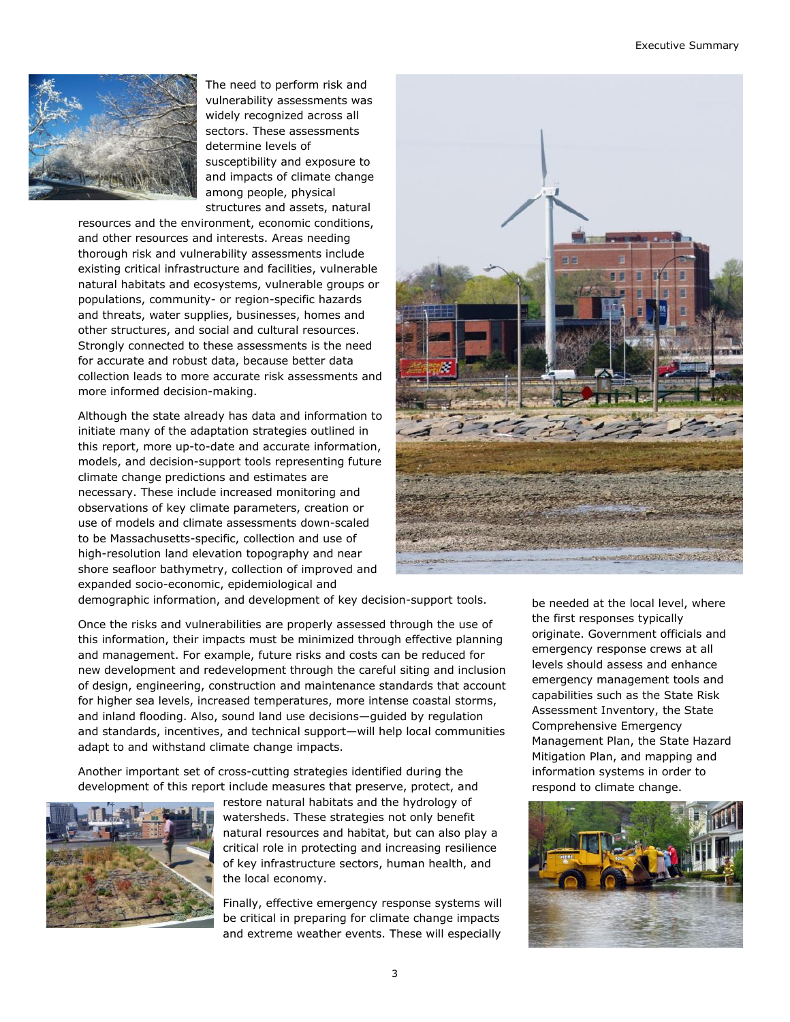

The need to perform risk and vulnerability assessments was widely recognized across all sectors. These assessments determine levels of susceptibility and exposure to and impacts of climate change among people, physical structures and assets, natural

resources and the environment, economic conditions, and other resources and interests. Areas needing thorough risk and vulnerability assessments include existing critical infrastructure and facilities, vulnerable natural habitats and ecosystems, vulnerable groups or populations, community- or region-specific hazards and threats, water supplies, businesses, homes and other structures, and social and cultural resources. Strongly connected to these assessments is the need for accurate and robust data, because better data collection leads to more accurate risk assessments and more informed decision-making.

Although the state already has data and information to initiate many of the adaptation strategies outlined in this report, more up-to-date and accurate information, models, and decision-support tools representing future climate change predictions and estimates are necessary. These include increased monitoring and observations of key climate parameters, creation or use of models and climate assessments down-scaled to be Massachusetts-specific, collection and use of high-resolution land elevation topography and near shore seafloor bathymetry, collection of improved and expanded socio-economic, epidemiological and



demographic information, and development of key decision-support tools.

Once the risks and vulnerabilities are properly assessed through the use of this information, their impacts must be minimized through effective planning and management. For example, future risks and costs can be reduced for new development and redevelopment through the careful siting and inclusion of design, engineering, construction and maintenance standards that account for higher sea levels, increased temperatures, more intense coastal storms, and inland flooding. Also, sound land use decisions—guided by regulation and standards, incentives, and technical support—will help local communities adapt to and withstand climate change impacts.

Another important set of cross-cutting strategies identified during the development of this report include measures that preserve, protect, and



restore natural habitats and the hydrology of watersheds. These strategies not only benefit natural resources and habitat, but can also play a critical role in protecting and increasing resilience of key infrastructure sectors, human health, and the local economy.

Finally, effective emergency response systems will be critical in preparing for climate change impacts and extreme weather events. These will especially

be needed at the local level, where the first responses typically originate. Government officials and emergency response crews at all levels should assess and enhance emergency management tools and capabilities such as the State Risk Assessment Inventory, the State Comprehensive Emergency Management Plan, the State Hazard Mitigation Plan, and mapping and information systems in order to respond to climate change.

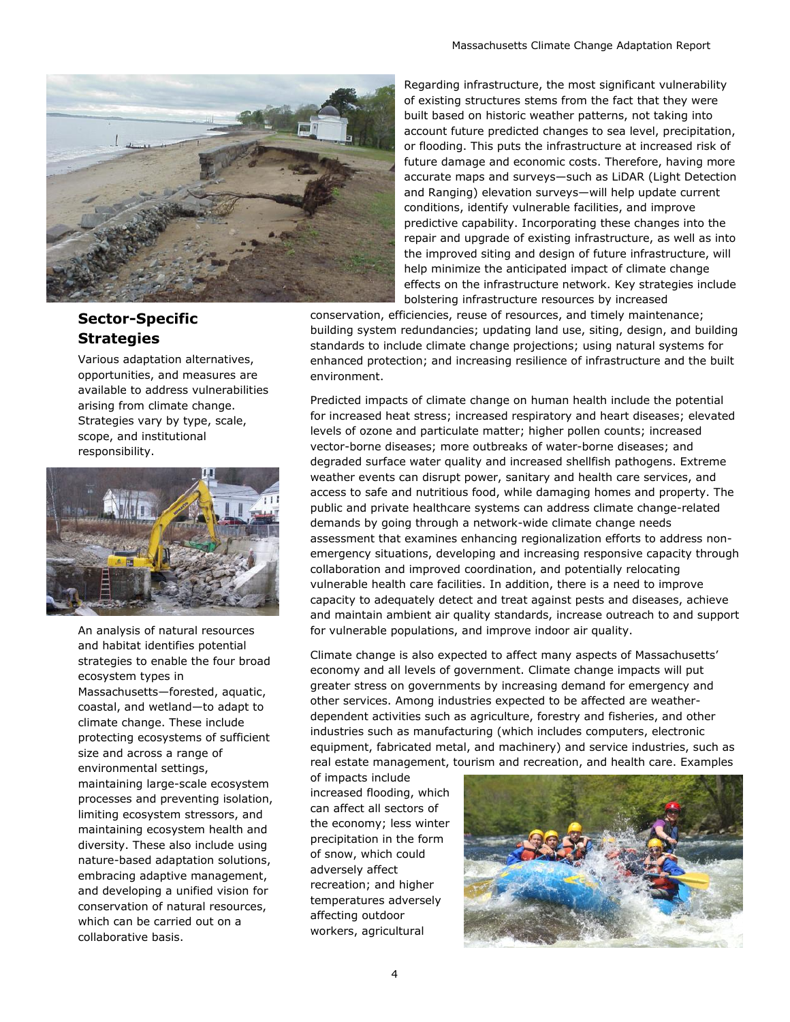

#### **Sector-Specific Strategies**

Various adaptation alternatives, opportunities, and measures are available to address vulnerabilities arising from climate change. Strategies vary by type, scale, scope, and institutional responsibility.



An analysis of natural resources and habitat identifies potential strategies to enable the four broad ecosystem types in Massachusetts—forested, aquatic, coastal, and wetland—to adapt to climate change. These include protecting ecosystems of sufficient size and across a range of environmental settings, maintaining large-scale ecosystem processes and preventing isolation, limiting ecosystem stressors, and maintaining ecosystem health and diversity. These also include using nature-based adaptation solutions, embracing adaptive management, and developing a unified vision for conservation of natural resources, which can be carried out on a collaborative basis.

Regarding infrastructure, the most significant vulnerability of existing structures stems from the fact that they were built based on historic weather patterns, not taking into account future predicted changes to sea level, precipitation, or flooding. This puts the infrastructure at increased risk of future damage and economic costs. Therefore, having more accurate maps and surveys—such as LiDAR (Light Detection and Ranging) elevation surveys—will help update current conditions, identify vulnerable facilities, and improve predictive capability. Incorporating these changes into the repair and upgrade of existing infrastructure, as well as into the improved siting and design of future infrastructure, will help minimize the anticipated impact of climate change effects on the infrastructure network. Key strategies include bolstering infrastructure resources by increased

conservation, efficiencies, reuse of resources, and timely maintenance; building system redundancies; updating land use, siting, design, and building standards to include climate change projections; using natural systems for enhanced protection; and increasing resilience of infrastructure and the built environment.

Predicted impacts of climate change on human health include the potential for increased heat stress; increased respiratory and heart diseases; elevated levels of ozone and particulate matter; higher pollen counts; increased vector-borne diseases; more outbreaks of water-borne diseases; and degraded surface water quality and increased shellfish pathogens. Extreme weather events can disrupt power, sanitary and health care services, and access to safe and nutritious food, while damaging homes and property. The public and private healthcare systems can address climate change-related demands by going through a network-wide climate change needs assessment that examines enhancing regionalization efforts to address nonemergency situations, developing and increasing responsive capacity through collaboration and improved coordination, and potentially relocating vulnerable health care facilities. In addition, there is a need to improve capacity to adequately detect and treat against pests and diseases, achieve and maintain ambient air quality standards, increase outreach to and support for vulnerable populations, and improve indoor air quality.

Climate change is also expected to affect many aspects of Massachusetts' economy and all levels of government. Climate change impacts will put greater stress on governments by increasing demand for emergency and other services. Among industries expected to be affected are weatherdependent activities such as agriculture, forestry and fisheries, and other industries such as manufacturing (which includes computers, electronic equipment, fabricated metal, and machinery) and service industries, such as real estate management, tourism and recreation, and health care. Examples

of impacts include increased flooding, which can affect all sectors of the economy; less winter precipitation in the form of snow, which could adversely affect recreation; and higher temperatures adversely affecting outdoor workers, agricultural

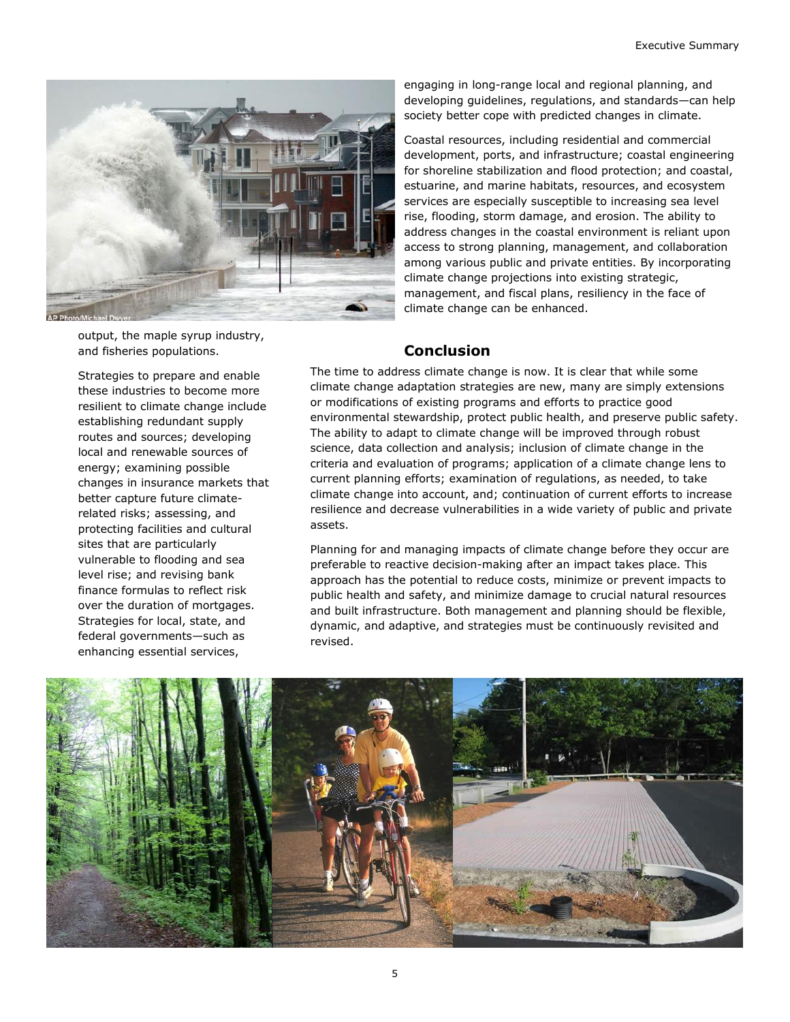

output, the maple syrup industry, and fisheries populations.

Strategies to prepare and enable these industries to become more resilient to climate change include establishing redundant supply routes and sources; developing local and renewable sources of energy; examining possible changes in insurance markets that better capture future climaterelated risks; assessing, and protecting facilities and cultural sites that are particularly vulnerable to flooding and sea level rise; and revising bank finance formulas to reflect risk over the duration of mortgages. Strategies for local, state, and federal governments—such as enhancing essential services,

engaging in long-range local and regional planning, and developing guidelines, regulations, and standards—can help society better cope with predicted changes in climate.

Coastal resources, including residential and commercial development, ports, and infrastructure; coastal engineering for shoreline stabilization and flood protection; and coastal, estuarine, and marine habitats, resources, and ecosystem services are especially susceptible to increasing sea level rise, flooding, storm damage, and erosion. The ability to address changes in the coastal environment is reliant upon access to strong planning, management, and collaboration among various public and private entities. By incorporating climate change projections into existing strategic, management, and fiscal plans, resiliency in the face of climate change can be enhanced.

#### **Conclusion**

The time to address climate change is now. It is clear that while some climate change adaptation strategies are new, many are simply extensions or modifications of existing programs and efforts to practice good environmental stewardship, protect public health, and preserve public safety. The ability to adapt to climate change will be improved through robust science, data collection and analysis; inclusion of climate change in the criteria and evaluation of programs; application of a climate change lens to current planning efforts; examination of regulations, as needed, to take climate change into account, and; continuation of current efforts to increase resilience and decrease vulnerabilities in a wide variety of public and private assets.

Planning for and managing impacts of climate change before they occur are preferable to reactive decision-making after an impact takes place. This approach has the potential to reduce costs, minimize or prevent impacts to public health and safety, and minimize damage to crucial natural resources and built infrastructure. Both management and planning should be flexible, dynamic, and adaptive, and strategies must be continuously revisited and revised.